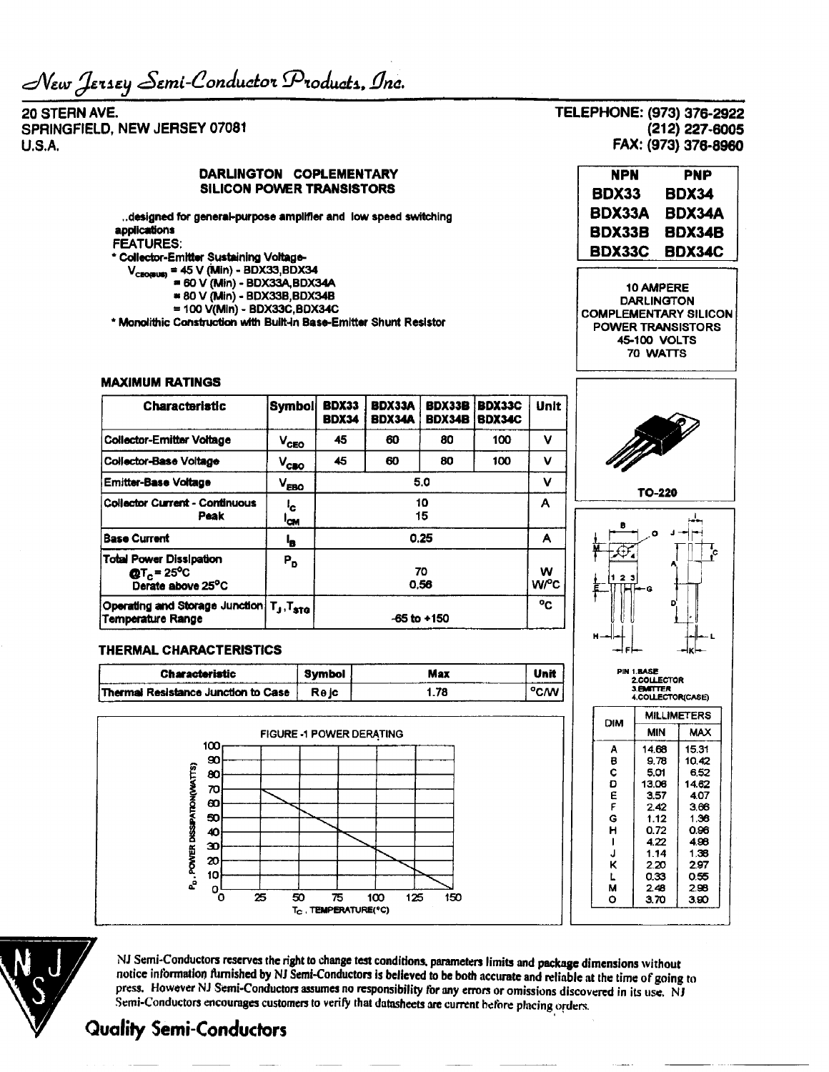New Jersey Semi-Conductor Products, Inc.

20 STERN AVE. SPRINGFIELD, NEW JERSEY 07081  $U.S.A.$ 

## DARLINGTON COPLEMENTARY **SILICON POWER TRANSISTORS**

..designed for general-purpose amplifier and low speed switching applications **FEATURES:** 

\* Collector-Emitter Sustaining Voltage-

- $V_{\text{CEO(9UB)}}$  = 45 V (Min) BDX33,BDX34
	- = 60 V (Min) BDX33A, BDX34A
		- \* 80 V (Min) BDX33B, BDX34B
		- = 100 V(Min) BDX33C, BDX34C

\* Monolithic Construction with Built-in Base-Emitter Shunt Resistor

**MAXIMUM RATINGS** 

| <b>Characteristic</b>                                                                   | Symbol                                        | BDX33<br><b>BDX34</b> | BDX33A<br><b>BDX34A</b> | <b>BDX33B</b><br><b>BDX34B</b> | <b>BDX33C</b><br><b>BDX34C</b> | Unit             |
|-----------------------------------------------------------------------------------------|-----------------------------------------------|-----------------------|-------------------------|--------------------------------|--------------------------------|------------------|
| <b>Collector-Emitter Voltage</b>                                                        | $\mathsf{v}_\mathsf{ceo}$                     | 45                    | 60                      | 80                             | 100                            | ν                |
| Collector-Base Voltage                                                                  | $\mathsf{V}_{\mathbf{C}\mathbf{B}\mathbf{O}}$ | 45                    | 60                      | 80                             | 100                            | ν                |
| Emitter-Base Voltage                                                                    | $\mathsf{V}_{\mathsf{EBO}}$                   | 5.0                   |                         |                                |                                | v                |
| <b>Collector Current - Continuous</b><br>Peak                                           | ı.<br>'см                                     | 10<br>15              |                         |                                | A                              |                  |
| <b>Base Current</b>                                                                     | l <sub>B</sub>                                | 0.25                  |                         |                                |                                | A                |
| <b>Total Power Dissipation</b><br>$QT_c = 25^{\circ}C$<br>Derate above 25°C             | $P_{\mathbf{D}}$                              | 70<br>0.56            |                         |                                |                                | w<br><b>W/PC</b> |
| Operating and Storage Junction   T <sub>J</sub> , T <sub>STG</sub><br>Temperature Range |                                               | $-65$ to $+150$       |                         |                                |                                | °C               |

### **THERMAL CHARACTERISTICS**

| <b>Characteristic</b>               | Symbol | Max<br>------ | Unit          |
|-------------------------------------|--------|---------------|---------------|
| Thermal Resistance Junction to Case | Re ic  | . 78          | $\degree$ C/W |



TELEPHONE: (973) 376-2922 (212) 227-6005 FAX: (973) 376-8960





NJ Semi-Conductors reserves the right to change test conditions, parameters limits and package dimensions without notice information furnished by NJ Semi-Conductors is believed to be both accurate and reliable at the time of going to press. However NJ Semi-Conductors assumes no responsibility for any errors or omissions discovered in its use. NJ Semi-Conductors encourages customers to verify that datasheets are current before placing orders.